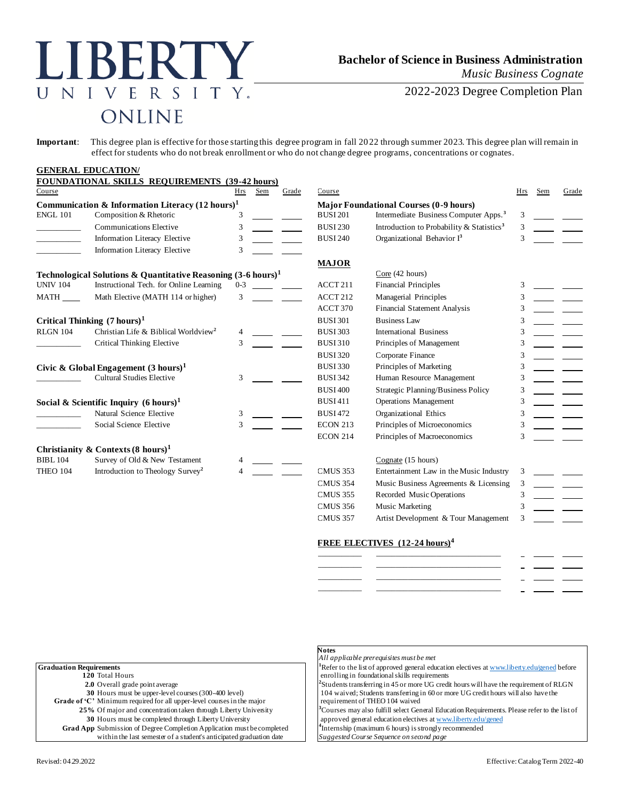# LIBERTY UNIVERSITY. ONLINE

## **Bachelor of Science in Business Administration** *Music Business Cognate*

2022-2023 Degree Completion Plan

**Important**: This degree plan is effective for those starting this degree program in fall 2022 through summer 2023. This degree plan will remain in effect for students who do not break enrollment or who do not change degree programs, concentrations or cognates.

|                                                             | <b>GENERAL EDUCATION/</b>                                                |         |                                               |                              |                                                       |     |     |       |
|-------------------------------------------------------------|--------------------------------------------------------------------------|---------|-----------------------------------------------|------------------------------|-------------------------------------------------------|-----|-----|-------|
|                                                             | FOUNDATIONAL SKILLS REQUIREMENTS (39-42 hours)                           |         |                                               |                              |                                                       |     |     |       |
| Course                                                      |                                                                          | Hrs     | Grade<br>Sem                                  | Course                       |                                                       | Hrs | Sem | Grade |
| Communication & Information Literacy $(12 \text{ hours})^1$ |                                                                          |         | <b>Major Foundational Courses (0-9 hours)</b> |                              |                                                       |     |     |       |
| <b>ENGL 101</b>                                             | Composition & Rhetoric                                                   | 3       |                                               | <b>BUSI 201</b>              | Intermediate Business Computer Apps. <sup>3</sup>     | 3   |     |       |
|                                                             | <b>Communications Elective</b>                                           | 3       |                                               | <b>BUSI 230</b>              | Introduction to Probability & Statistics <sup>3</sup> | 3   |     |       |
|                                                             | Information Literacy Elective                                            | 3       |                                               | <b>BUSI 240</b>              | Organizational Behavior I <sup>3</sup>                | 3   |     |       |
|                                                             | Information Literacy Elective                                            | 3       |                                               |                              |                                                       |     |     |       |
|                                                             |                                                                          |         |                                               | <b>MAJOR</b>                 |                                                       |     |     |       |
|                                                             | Technological Solutions & Quantitative Reasoning $(3-6 \text{ hours})^1$ |         |                                               |                              | Core (42 hours)                                       |     |     |       |
| <b>UNIV 104</b>                                             | Instructional Tech. for Online Learning                                  | $0 - 3$ |                                               | ACCT <sub>211</sub>          | <b>Financial Principles</b>                           | 3   |     |       |
| <b>MATH</b>                                                 | Math Elective (MATH 114 or higher)                                       | 3       |                                               | ACCT 212                     | Managerial Principles                                 | 3   |     |       |
|                                                             |                                                                          |         |                                               | ACCT 370                     | <b>Financial Statement Analysis</b>                   | 3   |     |       |
|                                                             | Critical Thinking $(7 \text{ hours})^1$                                  |         |                                               | <b>BUSI301</b>               | <b>Business Law</b>                                   |     |     |       |
| RLGN 104                                                    | Christian Life & Biblical Worldview <sup>2</sup>                         | 4       |                                               | <b>BUSI 303</b>              | International Business                                | 3   |     |       |
|                                                             | Critical Thinking Elective                                               | 3       |                                               | <b>BUSI310</b>               | Principles of Management                              | 3   |     |       |
|                                                             |                                                                          |         |                                               | <b>BUSI 320</b>              | Corporate Finance                                     | 3   |     |       |
| Civic & Global Engagement $(3 \text{ hours})^1$             |                                                                          |         | <b>BUSI330</b>                                | Principles of Marketing      | 3                                                     |     |     |       |
|                                                             | <b>Cultural Studies Elective</b>                                         | 3       |                                               | <b>BUSI 342</b>              | Human Resource Management                             |     |     |       |
|                                                             |                                                                          |         |                                               | <b>BUSI 400</b>              | Strategic Planning/Business Policy                    | 3   |     |       |
| Social & Scientific Inquiry $(6 \text{ hours})^1$           |                                                                          |         | <b>BUSI411</b>                                | <b>Operations Management</b> | 3                                                     |     |     |       |
|                                                             | Natural Science Elective                                                 | 3       |                                               | <b>BUSI472</b>               | Organizational Ethics                                 | 3   |     |       |
|                                                             | Social Science Elective                                                  | 3       |                                               | <b>ECON 213</b>              | Principles of Microeconomics                          |     |     |       |
|                                                             |                                                                          |         |                                               | <b>ECON 214</b>              | Principles of Macroeconomics                          |     |     |       |
|                                                             | Christianity & Contexts $(8 \text{ hours})^1$                            |         |                                               |                              |                                                       |     |     |       |
| <b>BIBL 104</b>                                             | Survey of Old & New Testament                                            |         |                                               |                              | Cognate (15 hours)                                    |     |     |       |
| <b>THEO 104</b>                                             | Introduction to Theology Survey <sup>2</sup>                             |         |                                               | <b>CMUS 353</b>              | Entertainment Law in the Music Industry               | 3   |     |       |
|                                                             |                                                                          |         |                                               | <b>CMUS 354</b>              | Music Business Agreements & Licensing                 | 3   |     |       |
|                                                             |                                                                          |         |                                               | <b>CMUS 355</b>              | Recorded Music Operations                             | 3   |     |       |
|                                                             |                                                                          |         |                                               | <b>CMUS 356</b>              | Music Marketing                                       |     |     |       |
|                                                             |                                                                          |         |                                               | <b>CMUS 357</b>              | Artist Development & Tour Management                  | 3   |     |       |

#### **FREE ELECTIVES (12-24 hours)<sup>4</sup>**

|  | <b>Contract Contract Contract</b> |         |  |
|--|-----------------------------------|---------|--|
|  | <b>Service</b>                    | _______ |  |
|  | <b>Service</b>                    |         |  |
|  | $\overline{\phantom{a}}$          |         |  |

|                                                                        | <b>Notes</b><br>All applicable prerequisites must be met                                                 |
|------------------------------------------------------------------------|----------------------------------------------------------------------------------------------------------|
| <b>Graduation Requirements</b>                                         | <sup>1</sup> Refer to the list of approved general education electives at www.liberty.edu/gened before   |
| 120 Total Hours                                                        | enrolling in foundational skills requirements                                                            |
| 2.0 Overall grade point average                                        | ${}^{2}$ Students transferring in 45 or more UG credit hours will have the requirement of RLGN           |
| 30 Hours must be upper-level courses (300-400 level)                   | 104 waived; Students transferring in 60 or more UG credit hours will also have the                       |
| Grade of 'C' Minimum required for all upper-level courses in the major | requirement of THEO 104 waived                                                                           |
| 25% Of major and concentration taken through Liberty University        | <sup>1</sup> Courses may also fulfill select General Education Requirements. Please refer to the list of |
| 30 Hours must be completed through Liberty University                  | approved general education electives at www.liberty.edu/gened                                            |
| Grad App Submission of Degree Completion Application must be completed | <sup>4</sup> Internship (maximum 6 hours) is strongly recommended                                        |
| within the last semester of a student's anticipated graduation date    | Suggested Course Sequence on second page                                                                 |
|                                                                        |                                                                                                          |